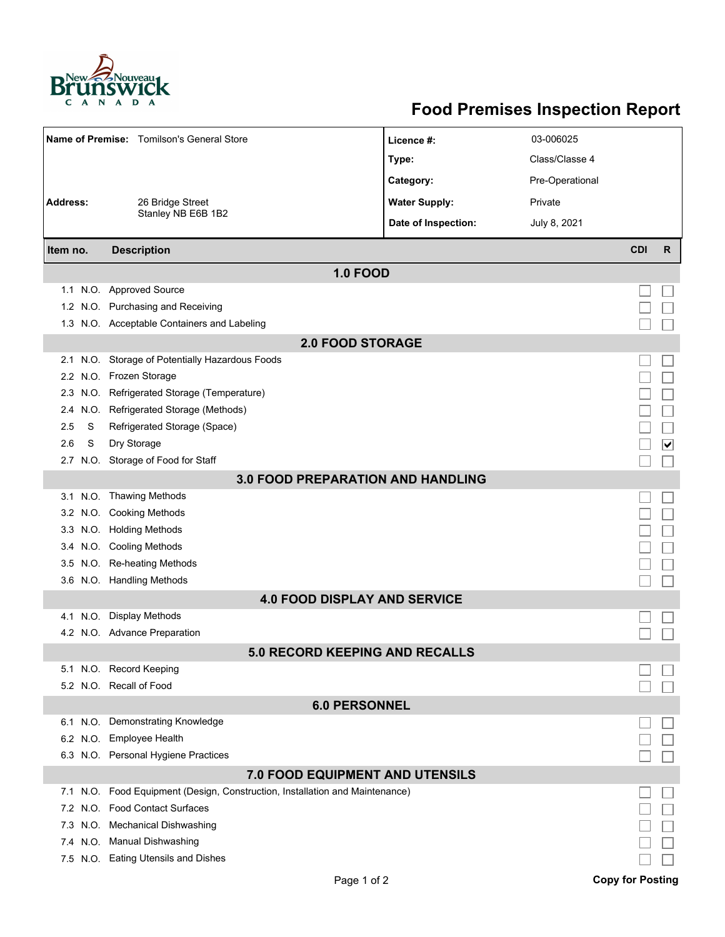

## **Food Premises Inspection Report**

| Name of Premise: Tomilson's General Store |      |                                                                              | Licence #:           | 03-006025       |            |                             |  |  |  |  |
|-------------------------------------------|------|------------------------------------------------------------------------------|----------------------|-----------------|------------|-----------------------------|--|--|--|--|
|                                           |      |                                                                              | Type:                | Class/Classe 4  |            |                             |  |  |  |  |
|                                           |      |                                                                              | Category:            | Pre-Operational |            |                             |  |  |  |  |
| <b>Address:</b>                           |      | 26 Bridge Street                                                             | <b>Water Supply:</b> | Private         |            |                             |  |  |  |  |
|                                           |      | Stanley NB E6B 1B2                                                           | Date of Inspection:  | July 8, 2021    |            |                             |  |  |  |  |
|                                           |      |                                                                              |                      |                 |            |                             |  |  |  |  |
| Item no.                                  |      | <b>Description</b>                                                           |                      |                 | <b>CDI</b> | $\mathsf{R}$                |  |  |  |  |
|                                           |      | <b>1.0 FOOD</b>                                                              |                      |                 |            |                             |  |  |  |  |
|                                           |      | 1.1 N.O. Approved Source                                                     |                      |                 |            |                             |  |  |  |  |
|                                           |      | 1.2 N.O. Purchasing and Receiving                                            |                      |                 |            |                             |  |  |  |  |
|                                           |      | 1.3 N.O. Acceptable Containers and Labeling                                  |                      |                 |            |                             |  |  |  |  |
| <b>2.0 FOOD STORAGE</b>                   |      |                                                                              |                      |                 |            |                             |  |  |  |  |
|                                           |      | 2.1 N.O. Storage of Potentially Hazardous Foods                              |                      |                 |            |                             |  |  |  |  |
|                                           |      | 2.2 N.O. Frozen Storage                                                      |                      |                 |            |                             |  |  |  |  |
| 2.3                                       |      | N.O. Refrigerated Storage (Temperature)                                      |                      |                 |            |                             |  |  |  |  |
| 2.4                                       | N.O. | Refrigerated Storage (Methods)                                               |                      |                 |            |                             |  |  |  |  |
| 2.5                                       | S    | Refrigerated Storage (Space)                                                 |                      |                 |            |                             |  |  |  |  |
| 2.6                                       | S    | Dry Storage                                                                  |                      |                 |            | $\vert\bm{\mathsf{v}}\vert$ |  |  |  |  |
|                                           |      | 2.7 N.O. Storage of Food for Staff                                           |                      |                 |            |                             |  |  |  |  |
| <b>3.0 FOOD PREPARATION AND HANDLING</b>  |      |                                                                              |                      |                 |            |                             |  |  |  |  |
|                                           |      | 3.1 N.O. Thawing Methods                                                     |                      |                 |            |                             |  |  |  |  |
|                                           |      | 3.2 N.O. Cooking Methods                                                     |                      |                 |            |                             |  |  |  |  |
|                                           |      | 3.3 N.O. Holding Methods                                                     |                      |                 |            |                             |  |  |  |  |
|                                           |      | 3.4 N.O. Cooling Methods                                                     |                      |                 |            |                             |  |  |  |  |
| 3.5                                       |      | N.O. Re-heating Methods                                                      |                      |                 |            |                             |  |  |  |  |
|                                           |      | 3.6 N.O. Handling Methods                                                    |                      |                 |            |                             |  |  |  |  |
|                                           |      | <b>4.0 FOOD DISPLAY AND SERVICE</b>                                          |                      |                 |            |                             |  |  |  |  |
|                                           |      | 4.1 N.O. Display Methods                                                     |                      |                 |            |                             |  |  |  |  |
|                                           |      | 4.2 N.O. Advance Preparation                                                 |                      |                 |            |                             |  |  |  |  |
|                                           |      | <b>5.0 RECORD KEEPING AND RECALLS</b>                                        |                      |                 |            |                             |  |  |  |  |
|                                           |      | 5.1 N.O. Record Keeping                                                      |                      |                 |            |                             |  |  |  |  |
|                                           |      | 5.2 N.O. Recall of Food                                                      |                      |                 |            |                             |  |  |  |  |
| <b>6.0 PERSONNEL</b>                      |      |                                                                              |                      |                 |            |                             |  |  |  |  |
|                                           |      | 6.1 N.O. Demonstrating Knowledge                                             |                      |                 |            |                             |  |  |  |  |
|                                           |      | 6.2 N.O. Employee Health                                                     |                      |                 |            |                             |  |  |  |  |
|                                           |      | 6.3 N.O. Personal Hygiene Practices                                          |                      |                 |            |                             |  |  |  |  |
| 7.0 FOOD EQUIPMENT AND UTENSILS           |      |                                                                              |                      |                 |            |                             |  |  |  |  |
|                                           |      | 7.1 N.O. Food Equipment (Design, Construction, Installation and Maintenance) |                      |                 |            |                             |  |  |  |  |
|                                           |      | 7.2 N.O. Food Contact Surfaces                                               |                      |                 |            |                             |  |  |  |  |
|                                           |      | 7.3 N.O. Mechanical Dishwashing                                              |                      |                 |            |                             |  |  |  |  |
|                                           |      | 7.4 N.O. Manual Dishwashing                                                  |                      |                 |            |                             |  |  |  |  |
|                                           |      | 7.5 N.O. Eating Utensils and Dishes                                          |                      |                 |            |                             |  |  |  |  |